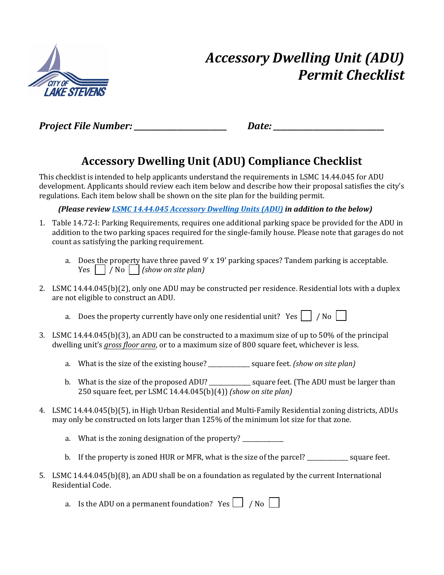

## *Accessory Dwelling Unit (ADU) Permit Checklist*

Project File Number: **Example 20** and *Project File Number*:

## **Accessory Dwelling Unit (ADU) Compliance Checklist**

This checklist is intended to help applicants understand the requirements in LSMC 14.44.045 for ADU development. Applicants should review each item below and describe how their proposal satisfies the city's regulations. Each item below shall be shown on the site plan for the building permit.

*(Please revie[w LSMC 14.44.045 Accessory Dwelling Units \(ADU\)](https://www.codepublishing.com/WA/LakeStevens/#!/LakeStevens14/LakeStevens1444.html) in addition to the below)*

- 1. Table 14.72-I: Parking Requirements, requires one additional parking space be provided for the ADU in addition to the two parking spaces required for the single-family house. Please note that garages do not count as satisfying the parking requirement.
	- a. Does the property have three paved  $9' \times 19'$  parking spaces? Tandem parking is acceptable. Yes / No *(show on site plan)*
- 2. LSMC 14.44.045(b)(2), only one ADU may be constructed per residence. Residential lots with a duplex are not eligible to construct an ADU.

a. Does the property currently have only one residential unit? Yes  $\Box$  / No  $\Box$ 

- 3. LSMC 14.44.045(b)(3), an ADU can be constructed to a maximum size of up to 50% of the principal dwelling unit's *gross floor area*, or to a maximum size of 800 square feet, whichever is less.
	- a. What is the size of the existing house? \_\_\_\_\_\_\_\_\_\_\_\_\_\_ square feet. *(show on site plan)*
	- b. What is the size of the proposed ADU? \_\_\_\_\_\_\_\_\_\_\_\_\_ square feet. (The ADU must be larger than 250 square feet, per LSMC 14.44.045(b)(4)) *(show on site plan)*
- 4. LSMC 14.44.045(b)(5), in High Urban Residential and Multi-Family Residential zoning districts, ADUs may only be constructed on lots larger than 125% of the minimum lot size for that zone.
	- a. What is the zoning designation of the property?
	- b. If the property is zoned HUR or MFR, what is the size of the parcel? square feet.
- 5. LSMC 14.44.045(b)(8), an ADU shall be on a foundation as regulated by the current International Residential Code.

a. Is the ADU on a permanent foundation? Yes  $\Box$  / No  $\Box$